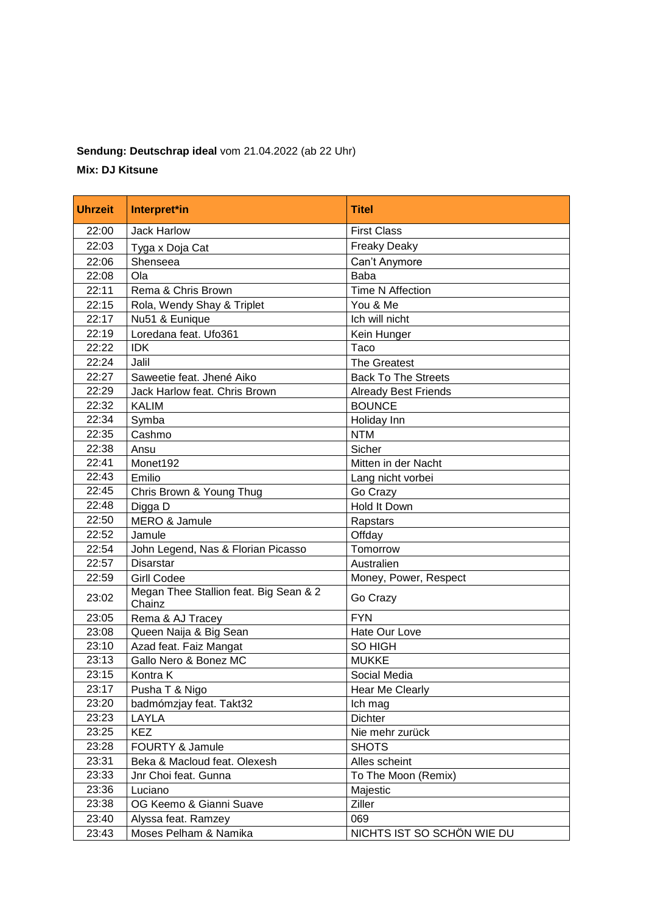## **Sendung: Deutschrap ideal** vom 21.04.2022 (ab 22 Uhr)

## **Mix: DJ Kitsune**

| <b>Uhrzeit</b> | Interpret*in                                     | <b>Titel</b>                |
|----------------|--------------------------------------------------|-----------------------------|
| 22:00          | <b>Jack Harlow</b>                               | <b>First Class</b>          |
| 22:03          | Tyga x Doja Cat                                  | <b>Freaky Deaky</b>         |
| 22:06          | Shenseea                                         | Can't Anymore               |
| 22:08          | Ola                                              | <b>Baba</b>                 |
| 22:11          | Rema & Chris Brown                               | <b>Time N Affection</b>     |
| 22:15          | Rola, Wendy Shay & Triplet                       | You & Me                    |
| 22:17          | Nu51 & Eunique                                   | Ich will nicht              |
| 22:19          | Loredana feat. Ufo361                            | Kein Hunger                 |
| 22:22          | <b>IDK</b>                                       | Taco                        |
| 22:24          | Jalil                                            | <b>The Greatest</b>         |
| 22:27          | Saweetie feat. Jhené Aiko                        | <b>Back To The Streets</b>  |
| 22:29          | Jack Harlow feat. Chris Brown                    | <b>Already Best Friends</b> |
| 22:32          | <b>KALIM</b>                                     | <b>BOUNCE</b>               |
| 22:34          | Symba                                            | Holiday Inn                 |
| 22:35          | Cashmo                                           | <b>NTM</b>                  |
| 22:38          | Ansu                                             | Sicher                      |
| 22:41          | Monet192                                         | Mitten in der Nacht         |
| 22:43          | Emilio                                           | Lang nicht vorbei           |
| 22:45          | Chris Brown & Young Thug                         | Go Crazy                    |
| 22:48          | Digga D                                          | <b>Hold It Down</b>         |
| 22:50          | MERO & Jamule                                    | Rapstars                    |
| 22:52          | Jamule                                           | Offday                      |
| 22:54          | John Legend, Nas & Florian Picasso               | Tomorrow                    |
| 22:57          | <b>Disarstar</b>                                 | Australien                  |
| 22:59          | <b>Girll Codee</b>                               | Money, Power, Respect       |
| 23:02          | Megan Thee Stallion feat. Big Sean & 2<br>Chainz | Go Crazy                    |
| 23:05          | Rema & AJ Tracey                                 | <b>FYN</b>                  |
| 23:08          | Queen Naija & Big Sean                           | Hate Our Love               |
| 23:10          | Azad feat. Faiz Mangat                           | SO HIGH                     |
| 23:13          | Gallo Nero & Bonez MC                            | <b>MUKKE</b>                |
| 23:15          | Kontra K                                         | Social Media                |
| 23:17          | Pusha T & Nigo                                   | <b>Hear Me Clearly</b>      |
| 23:20          | badmómzjay feat. Takt32                          | Ich mag                     |
| 23:23          | LAYLA                                            | Dichter                     |
| 23:25          | <b>KEZ</b>                                       | Nie mehr zurück             |
| 23:28          | FOURTY & Jamule                                  | <b>SHOTS</b>                |
| 23:31          | Beka & Macloud feat. Olexesh                     | Alles scheint               |
| 23:33          | Jnr Choi feat. Gunna                             | To The Moon (Remix)         |
| 23:36          | Luciano                                          | Majestic                    |
| 23:38          | OG Keemo & Gianni Suave                          | Ziller                      |
| 23:40          | Alyssa feat. Ramzey                              | 069                         |
| 23:43          | Moses Pelham & Namika                            | NICHTS IST SO SCHÖN WIE DU  |